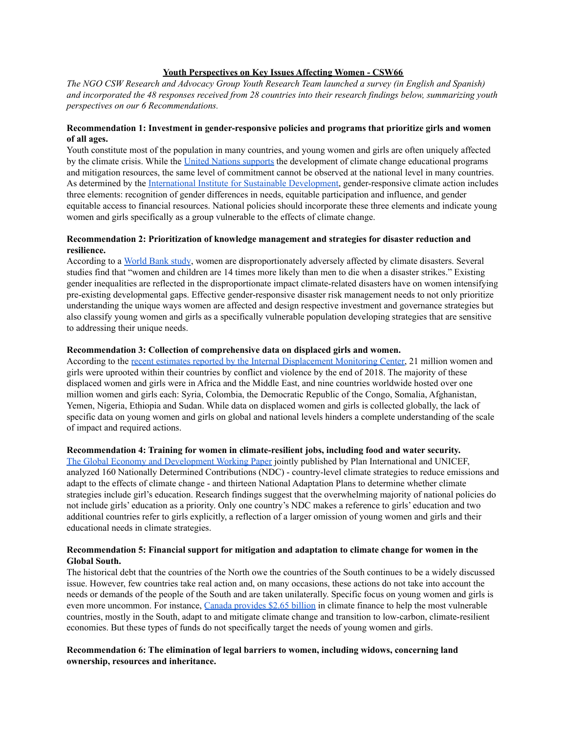# **Youth Perspectives on Key Issues Affecting Women - CSW66**

*The NGO CSW Research and Advocacy Group Youth Research Team launched a survey (in English and Spanish)* and incorporated the 48 responses received from 28 countries into their research findings below, summarizing youth *perspectives on our 6 Recommendations.*

# **Recommendation 1: Investment in gender-responsive policies and programs that prioritize girls and women of all ages.**

Youth constitute most of the population in many countries, and young women and girls are often uniquely affected by the climate crisis. While the United Nations [supports](https://www.un.org/en/climatechange/climate-solutions/education-key-addressing-climate-change) the development of climate change educational programs and mitigation resources, the same level of commitment cannot be observed at the national level in many countries. As determined by the International Institute for Sustainable [Development,](https://www.iisd.org/story/gender-responsive-climate-action/) gender-responsive climate action includes three elements: recognition of gender differences in needs, equitable participation and influence, and gender equitable access to financial resources. National policies should incorporate these three elements and indicate young women and girls specifically as a group vulnerable to the effects of climate change.

# **Recommendation 2: Prioritization of knowledge management and strategies for disaster reduction and resilience.**

According to a [World](https://blogs.worldbank.org/africacan/enhancing-gender-responsive-disaster-risk-management-why-change-mindset-first-step) Bank study, women are disproportionately adversely affected by climate disasters. Several studies find that "women and children are 14 times more likely than men to die when a disaster strikes." Existing gender inequalities are reflected in the disproportionate impact climate-related disasters have on women intensifying pre-existing developmental gaps. Effective gender-responsive disaster risk management needs to not only prioritize understanding the unique ways women are affected and design respective investment and governance strategies but also classify young women and girls as a specifically vulnerable population developing strategies that are sensitive to addressing their unique needs.

# **Recommendation 3: Collection of comprehensive data on displaced girls and women.**

According to the recent estimates reported by the Internal [Displacement](https://www.internal-displacement.org/media-centres/the-female-face-of-displacement-21-million-women-and-girls-uprooted-by-conflict-and) Monitoring Center, 21 million women and girls were uprooted within their countries by conflict and violence by the end of 2018. The majority of these displaced women and girls were in Africa and the Middle East, and nine countries worldwide hosted over one million women and girls each: Syria, Colombia, the Democratic Republic of the Congo, Somalia, Afghanistan, Yemen, Nigeria, Ethiopia and Sudan. While data on displaced women and girls is collected globally, the lack of specific data on young women and girls on global and national levels hinders a complete understanding of the scale of impact and required actions.

## **Recommendation 4: Training for women in climate-resilient jobs, including food and water security.**

The Global Economy and [Development](https://www.brookings.edu/wp-content/uploads/2019/12/Girls-ed-in-climate-strategies-working-paper-FINAL.pdf) Working Paper jointly published by Plan International and UNICEF, analyzed 160 Nationally Determined Contributions (NDC) - country-level climate strategies to reduce emissions and adapt to the effects of climate change - and thirteen National Adaptation Plans to determine whether climate strategies include girl's education. Research findings suggest that the overwhelming majority of national policies do not include girls' education as a priority. Only one country's NDC makes a reference to girls' education and two additional countries refer to girls explicitly, a reflection of a larger omission of young women and girls and their educational needs in climate strategies.

# **Recommendation 5: Financial support for mitigation and adaptation to climate change for women in the Global South.**

The historical debt that the countries of the North owe the countries of the South continues to be a widely discussed issue. However, few countries take real action and, on many occasions, these actions do not take into account the needs or demands of the people of the South and are taken unilaterally. Specific focus on young women and girls is even more uncommon. For instance, Canada [provides](https://www.international.gc.ca/world-monde/issues_development-enjeux_developpement/priorities-priorites/policy-politique.aspx?lang=eng#5.4) \$2.65 billion in climate finance to help the most vulnerable countries, mostly in the South, adapt to and mitigate climate change and transition to low-carbon, climate-resilient economies. But these types of funds do not specifically target the needs of young women and girls.

# **Recommendation 6: The elimination of legal barriers to women, including widows, concerning land ownership, resources and inheritance.**